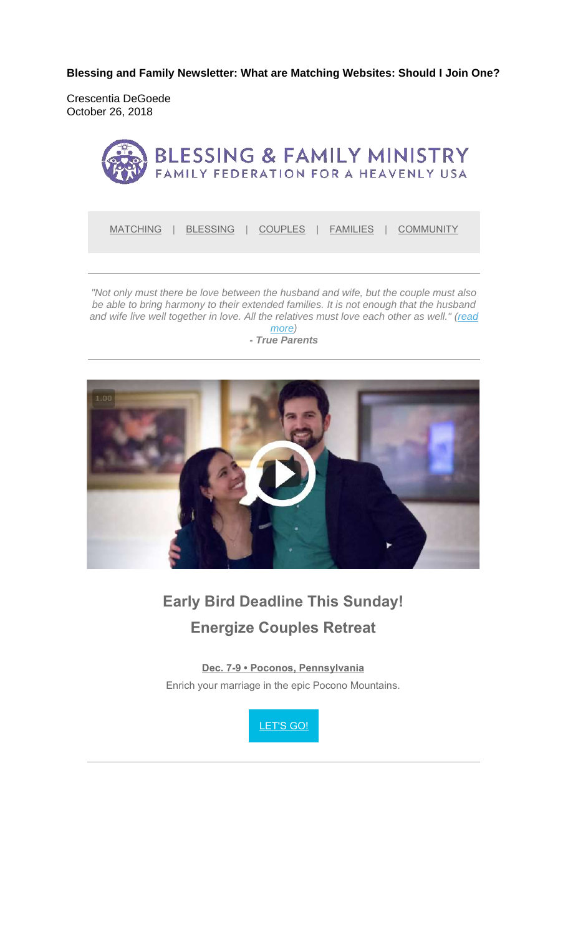**Blessing and Family Newsletter: What are Matching Websites: Should I Join One?** 

Crescentia DeGoede October 26, 2018



MATCHING | BLESSING | COUPLES | FAMILIES | COMMUNITY

*"Not only must there be love between the husband and wife, but the couple must also be able to bring harmony to their extended families. It is not enough that the husband*  and wife live well together in love. All the relatives must love each other as well." (read

*more) - True Parents*



# **Early Bird Deadline This Sunday! Energize Couples Retreat**

**Dec. 7-9 • Poconos, Pennsylvania** Enrich your marriage in the epic Pocono Mountains.

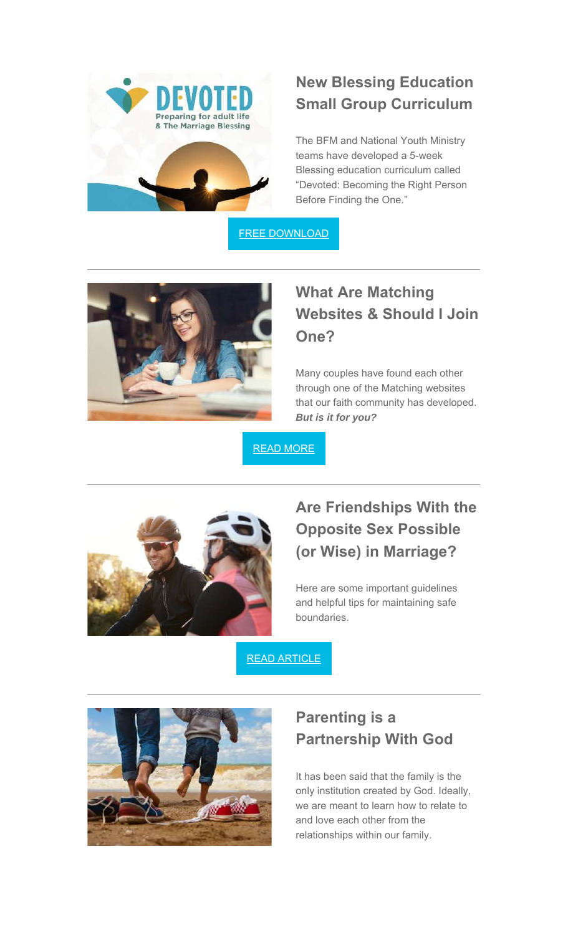

## **New Blessing Education Small Group Curriculum**

The BFM and National Youth Ministry teams have developed a 5-week Blessing education curriculum called "Devoted: Becoming the Right Person Before Finding the One."

FREE DOWNLOAD



### **What Are Matching Websites & Should I Join One?**

Many couples have found each other through one of the Matching websites that our faith community has developed. *But is it for you?*

READ MORE



## **Are Friendships With the Opposite Sex Possible (or Wise) in Marriage?**

Here are some important guidelines and helpful tips for maintaining safe boundaries.

READ ARTICLE



#### **Parenting is a Partnership With God**

It has been said that the family is the only institution created by God. Ideally, we are meant to learn how to relate to and love each other from the relationships within our family.